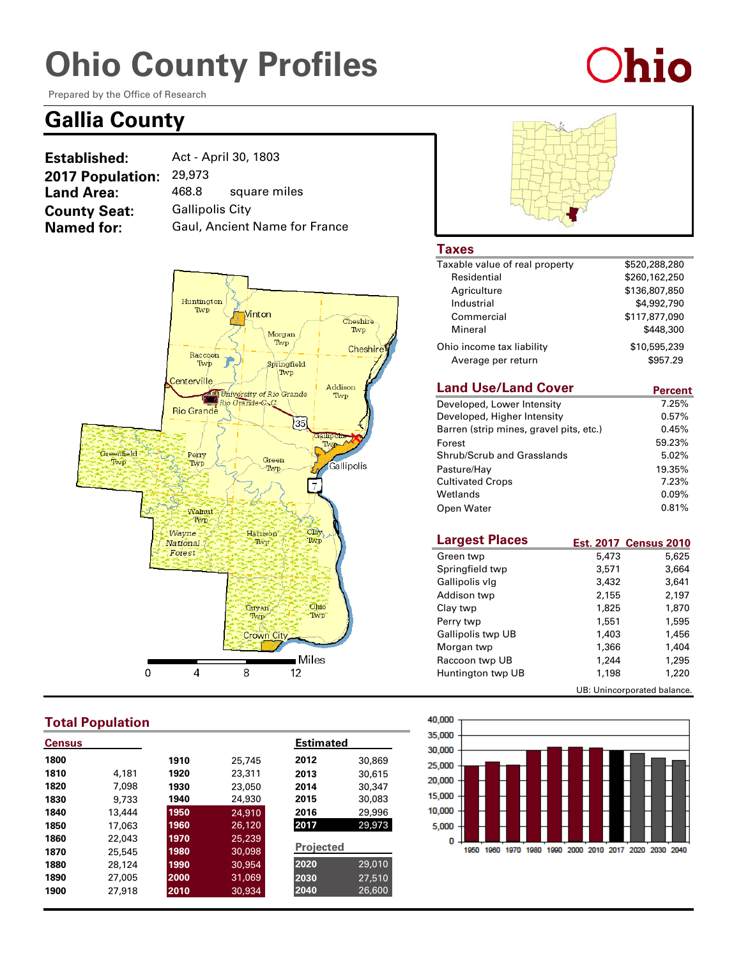# **Ohio County Profiles**

Prepared by the Office of Research

### **Gallia County**

| Established:            | Act - April 30, 1803   |                               |
|-------------------------|------------------------|-------------------------------|
| <b>2017 Population:</b> | 29,973                 |                               |
| <b>Land Area:</b>       | 468.8                  | square miles                  |
| <b>County Seat:</b>     | <b>Gallipolis City</b> |                               |
| <b>Named for:</b>       |                        | Gaul, Ancient Name for France |



#### **Total Population**

| <b>Census</b> |        |      |        | <b>Estimated</b> |        |
|---------------|--------|------|--------|------------------|--------|
| 1800          |        | 1910 | 25,745 | 2012             | 30,869 |
| 1810          | 4,181  | 1920 | 23,311 | 2013             | 30,615 |
| 1820          | 7.098  | 1930 | 23,050 | 2014             | 30,347 |
| 1830          | 9.733  | 1940 | 24,930 | 2015             | 30,083 |
| 1840          | 13,444 | 1950 | 24,910 | 2016             | 29,996 |
| 1850          | 17,063 | 1960 | 26,120 | 2017             | 29,973 |
| 1860          | 22,043 | 1970 | 25,239 |                  |        |
| 1870          | 25,545 | 1980 | 30,098 | <b>Projected</b> |        |
| 1880          | 28,124 | 1990 | 30,954 | 2020             | 29,010 |
| 1890          | 27,005 | 2000 | 31,069 | 2030             | 27,510 |
| 1900          | 27,918 | 2010 | 30.934 | 2040             | 26,600 |



**Ohio** 

#### **Taxes**

| Taxable value of real property | \$520,288,280 |
|--------------------------------|---------------|
| Residential                    | \$260,162,250 |
| Agriculture                    | \$136,807,850 |
| Industrial                     | \$4,992,790   |
| Commercial                     | \$117,877,090 |
| Mineral                        | \$448,300     |
| Ohio income tax liability      | \$10,595,239  |
| Average per return             | \$957.29      |
|                                |               |

#### **Land Use/Land Cover**

| <b>Land Use/Land Cover</b>              | <b>Percent</b> |
|-----------------------------------------|----------------|
| Developed, Lower Intensity              | 7.25%          |
| Developed, Higher Intensity             | 0.57%          |
| Barren (strip mines, gravel pits, etc.) | 0.45%          |
| Forest                                  | 59.23%         |
| Shrub/Scrub and Grasslands              | 5.02%          |
| Pasture/Hay                             | 19.35%         |
| <b>Cultivated Crops</b>                 | 7.23%          |
| Wetlands                                | $0.09\%$       |
| Open Water                              | 0.81%          |

| <b>Largest Places</b> |       | <b>Est. 2017 Census 2010</b> |
|-----------------------|-------|------------------------------|
| Green twp             | 5,473 | 5,625                        |
| Springfield twp       | 3,571 | 3,664                        |
| Gallipolis vlg        | 3,432 | 3,641                        |
| Addison twp           | 2,155 | 2,197                        |
| Clay twp              | 1,825 | 1,870                        |
| Perry twp             | 1,551 | 1,595                        |
| Gallipolis twp UB     | 1,403 | 1,456                        |
| Morgan twp            | 1,366 | 1,404                        |
| Raccoon twp UB        | 1,244 | 1,295                        |
| Huntington twp UB     | 1,198 | 1,220                        |
|                       |       | UB: Unincorporated balance.  |

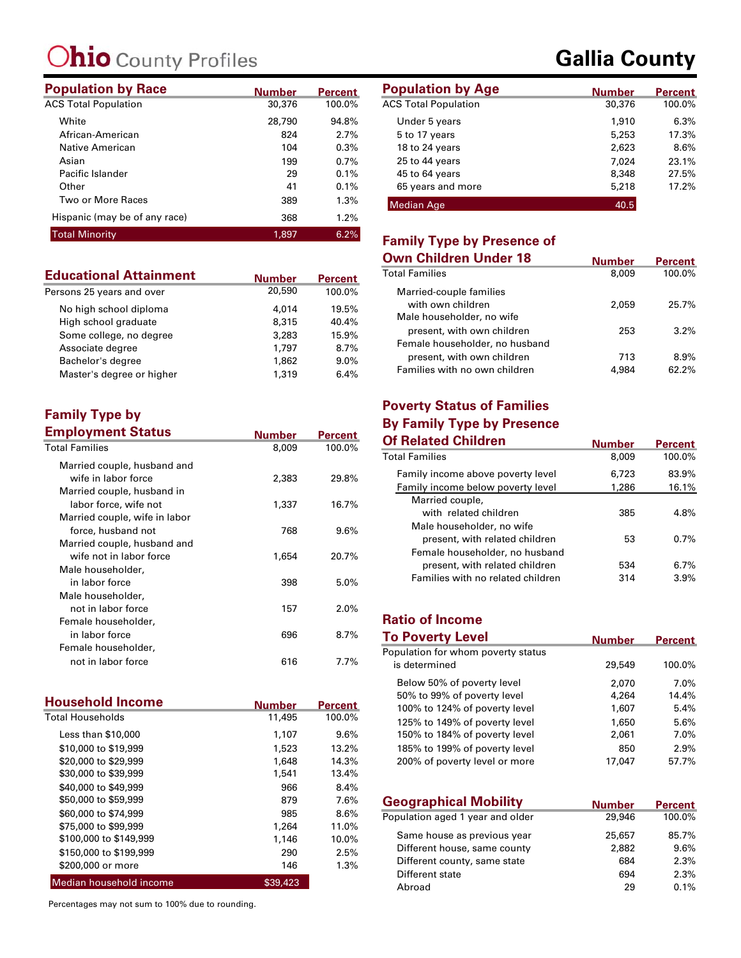## **hio** County Profiles

| <b>Population by Race</b>     | <b>Number</b> | <b>Percent</b> | <b>Population by Age</b>    |
|-------------------------------|---------------|----------------|-----------------------------|
| <b>ACS Total Population</b>   | 30,376        | 100.0%         | <b>ACS Total Population</b> |
| White                         | 28,790        | 94.8%          | Under 5 years               |
| African-American              | 824           | 2.7%           | 5 to 17 years               |
| Native American               | 104           | 0.3%           | 18 to 24 years              |
| Asian                         | 199           | 0.7%           | 25 to 44 years              |
| Pacific Islander              | 29            | 0.1%           | 45 to 64 years              |
| Other                         | 41            | 0.1%           | 65 years and more           |
| Two or More Races             | 389           | 1.3%           | <b>Median Age</b>           |
| Hispanic (may be of any race) | 368           | 1.2%           |                             |
| <b>Total Minority</b>         | 1.897         | 6.2%           | Eamily Tyme hy Dw           |

| <b>Educational Attainment</b> | <b>Number</b> | <b>Percent</b> |
|-------------------------------|---------------|----------------|
| Persons 25 years and over     | 20,590        | 100.0%         |
| No high school diploma        | 4,014         | 19.5%          |
| High school graduate          | 8,315         | 40.4%          |
| Some college, no degree       | 3,283         | 15.9%          |
| Associate degree              | 1.797         | 8.7%           |
| Bachelor's degree             | 1,862         | 9.0%           |
| Master's degree or higher     | 1,319         | 6.4%           |

#### **Family Type by Employment Status**

| <b>Employment Status</b>      | Number | <b>Percent</b> |
|-------------------------------|--------|----------------|
| <b>Total Families</b>         | 8,009  | 100.0%         |
| Married couple, husband and   |        |                |
| wife in labor force           | 2,383  | 29.8%          |
| Married couple, husband in    |        |                |
| labor force, wife not         | 1,337  | 16.7%          |
| Married couple, wife in labor |        |                |
| force, husband not            | 768    | 9.6%           |
| Married couple, husband and   |        |                |
| wife not in labor force       | 1,654  | 20.7%          |
| Male householder,             |        |                |
| in labor force                | 398    | 5.0%           |
| Male householder,             |        |                |
| not in labor force            | 157    | $2.0\%$        |
| Female householder,           |        |                |
| in labor force                | 696    | 8.7%           |
| Female householder,           |        |                |
| not in labor force            | 616    | $7.7\%$        |

| <b>Household Income</b> | <b>Number</b> | <b>Percent</b> |
|-------------------------|---------------|----------------|
| <b>Total Households</b> | 11,495        | 100.0%         |
| Less than \$10,000      | 1,107         | 9.6%           |
| \$10,000 to \$19,999    | 1,523         | 13.2%          |
| \$20,000 to \$29,999    | 1,648         | 14.3%          |
| \$30,000 to \$39,999    | 1,541         | 13.4%          |
| \$40,000 to \$49,999    | 966           | 8.4%           |
| \$50,000 to \$59,999    | 879           | 7.6%           |
| \$60,000 to \$74,999    | 985           | 8.6%           |
| \$75,000 to \$99,999    | 1,264         | 11.0%          |
| \$100,000 to \$149,999  | 1,146         | 10.0%          |
| \$150,000 to \$199,999  | 290           | 2.5%           |
| \$200,000 or more       | 146           | 1.3%           |
| Median household income | \$39,423      |                |

Percentages may not sum to 100% due to rounding.

### **Gallia County**

| <b>Number</b> | <b>Percent</b> | <b>Population by Age</b>    | <b>Number</b> | <b>Percent</b> |
|---------------|----------------|-----------------------------|---------------|----------------|
| 30,376        | 100.0%         | <b>ACS Total Population</b> | 30,376        | 100.0%         |
| 28,790        | 94.8%          | Under 5 years               | 1,910         | 6.3%           |
| 824           | 2.7%           | 5 to 17 years               | 5,253         | 17.3%          |
| 104           | 0.3%           | 18 to 24 years              | 2,623         | 8.6%           |
| 199           | 0.7%           | 25 to 44 years              | 7.024         | 23.1%          |
| 29            | 0.1%           | 45 to 64 years              | 8,348         | 27.5%          |
| 41            | 0.1%           | 65 years and more           | 5,218         | 17.2%          |
| 389           | $1.3\%$        | Median Age                  | 40.5          |                |

#### **Family Type by Presence of**

| Own Children Under 18                        | <b>Number</b> | <b>Percent</b> |
|----------------------------------------------|---------------|----------------|
| Total Families                               | 8,009         | 100.0%         |
| Married-couple families<br>with own children | 2.059         | 25.7%          |
| Male householder, no wife                    |               |                |
| present, with own children                   | 253           | 3.2%           |
| Female householder, no husband               |               |                |
| present, with own children                   | 713           | 8.9%           |
| Families with no own children                | 4.984         | 62.2%          |

## **Poverty Status of Families**

| <b>By Family Type by Presence</b> |               |                |
|-----------------------------------|---------------|----------------|
| <b>Of Related Children</b>        | <b>Number</b> | <b>Percent</b> |
| <b>Total Families</b>             | 8,009         | 100.0%         |
| Family income above poverty level | 6.723         | 83.9%          |
| Family income below poverty level | 1,286         | 16.1%          |
| Married couple,                   |               |                |
| with related children             | 385           | 4.8%           |
| Male householder, no wife         |               |                |
| present, with related children    | 53            | 0.7%           |
| Female householder, no husband    |               |                |
| present, with related children    | 534           | 6.7%           |
| Families with no related children | 314           | 3.9%           |

#### **Ratio of Income**

| <b>To Poverty Level</b>            | Number | Percent |
|------------------------------------|--------|---------|
| Population for whom poverty status |        |         |
| is determined                      | 29,549 | 100.0%  |
| Below 50% of poverty level         | 2,070  | $7.0\%$ |
| 50% to 99% of poverty level        | 4,264  | 14.4%   |
| 100% to 124% of poverty level      | 1,607  | 5.4%    |
| 125% to 149% of poverty level      | 1,650  | 5.6%    |
| 150% to 184% of poverty level      | 2,061  | 7.0%    |
| 185% to 199% of poverty level      | 850    | 2.9%    |
| 200% of poverty level or more      | 17.047 | 57.7%   |

| <b>Geographical Mobility</b>     | <b>Number</b> | <b>Percent</b> |
|----------------------------------|---------------|----------------|
| Population aged 1 year and older | 29,946        | 100.0%         |
| Same house as previous year      | 25,657        | 85.7%          |
| Different house, same county     | 2,882         | 9.6%           |
| Different county, same state     | 684           | 2.3%           |
| Different state                  | 694           | 2.3%           |
| Abroad                           | 29            | 0.1%           |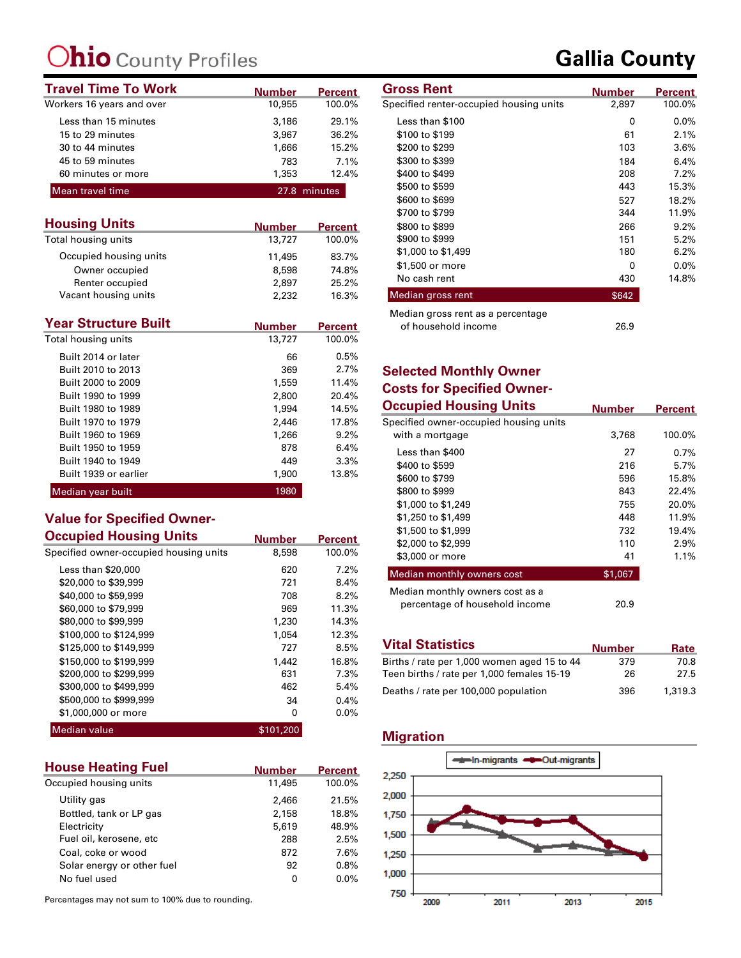## **hio** County Profiles

| <b>Travel Time To Work</b> | <b>Number</b> | <b>Percent</b> | <b>Gross Rent</b>                       | Number |
|----------------------------|---------------|----------------|-----------------------------------------|--------|
| Workers 16 years and over  | 10,955        | 100.0%         | Specified renter-occupied housing units | 2,897  |
| Less than 15 minutes       | 3,186         | 29.1%          | Less than \$100                         | 0      |
| 15 to 29 minutes           | 3.967         | 36.2%          | \$100 to \$199                          | -61    |
| 30 to 44 minutes           | 1.666         | 15.2%          | \$200 to \$299                          | 103    |
| 45 to 59 minutes           | 783           | 7.1%           | \$300 to \$399                          | 184    |
| 60 minutes or more         | 1,353         | 12.4%          | \$400 to \$499                          | 208    |
| Mean travel time           |               | 27.8 minutes   | \$500 to \$599                          | 443    |
|                            |               |                | .                                       | _ _ _  |

| <b>Housing Units</b>   | <b>Number</b> | <b>Percent</b> |
|------------------------|---------------|----------------|
| Total housing units    | 13,727        | 100.0%         |
| Occupied housing units | 11,495        | 83.7%          |
| Owner occupied         | 8,598         | 74.8%          |
| Renter occupied        | 2,897         | 25.2%          |
| Vacant housing units   | 2.232         | 16.3%          |

| <b>Year Structure Built</b> | <b>Number</b> | <b>Percent</b> |
|-----------------------------|---------------|----------------|
| Total housing units         | 13,727        | 100.0%         |
| Built 2014 or later         | 66            | 0.5%           |
| Built 2010 to 2013          | 369           | 2.7%           |
| Built 2000 to 2009          | 1,559         | 11.4%          |
| Built 1990 to 1999          | 2,800         | 20.4%          |
| Built 1980 to 1989          | 1,994         | 14.5%          |
| Built 1970 to 1979          | 2,446         | 17.8%          |
| Built 1960 to 1969          | 1,266         | 9.2%           |
| Built 1950 to 1959          | 878           | 6.4%           |
| Built 1940 to 1949          | 449           | 3.3%           |
| Built 1939 or earlier       | 1,900         | 13.8%          |
| Median year built           | 1980          |                |

#### **Value for Specified Owner-Occupied Housing Units**

| Occupied Housing Units                 | <b>Number</b> | <b>Percent</b> |
|----------------------------------------|---------------|----------------|
| Specified owner-occupied housing units | 8,598         | 100.0%         |
| Less than \$20,000                     | 620           | 7.2%           |
| \$20,000 to \$39,999                   | 721           | 8.4%           |
| \$40,000 to \$59,999                   | 708           | 8.2%           |
| \$60,000 to \$79,999                   | 969           | 11.3%          |
| \$80,000 to \$99,999                   | 1,230         | 14.3%          |
| \$100,000 to \$124,999                 | 1,054         | 12.3%          |
| \$125,000 to \$149,999                 | 727           | 8.5%           |
| \$150,000 to \$199,999                 | 1,442         | 16.8%          |
| \$200,000 to \$299,999                 | 631           | 7.3%           |
| \$300,000 to \$499,999                 | 462           | 5.4%           |
| \$500,000 to \$999,999                 | 34            | 0.4%           |
| \$1,000,000 or more                    | 0             | 0.0%           |
| <b>Median value</b>                    | \$101,200     |                |

| <b>House Heating Fuel</b>  | <b>Number</b> | <b>Percent</b> |
|----------------------------|---------------|----------------|
| Occupied housing units     | 11,495        | 100.0%         |
| Utility gas                | 2,466         | 21.5%          |
| Bottled, tank or LP gas    | 2,158         | 18.8%          |
| Electricity                | 5,619         | 48.9%          |
| Fuel oil, kerosene, etc    | 288           | 2.5%           |
| Coal, coke or wood         | 872           | 7.6%           |
| Solar energy or other fuel | 92            | 0.8%           |
| No fuel used               | 0             | $0.0\%$        |

Percentages may not sum to 100% due to rounding.

| <b>Gross Rent</b>                       | <b>Number</b> | <b>Percent</b> |
|-----------------------------------------|---------------|----------------|
| Specified renter-occupied housing units | 2,897         | 100.0%         |
| Less than \$100                         | 0             | $0.0\%$        |
| \$100 to \$199                          | 61            | 2.1%           |
| \$200 to \$299                          | 103           | 3.6%           |
| \$300 to \$399                          | 184           | 6.4%           |
| \$400 to \$499                          | 208           | 7.2%           |
| \$500 to \$599                          | 443           | 15.3%          |
| \$600 to \$699                          | 527           | 18.2%          |
| \$700 to \$799                          | 344           | 11.9%          |

\$800 to \$899 266 \$900 to \$999 151 \$1,000 to \$1,499 180 \$1,500 or more 0 No cash rent 430 Median gross rent **\$642** 

#### **Selected Monthly Owner Costs for Specified Owner-**

Median gross rent as a percentage

of household income

| <b>Occupied Housing Units</b>                                     | <b>Number</b> | <b>Percent</b> |
|-------------------------------------------------------------------|---------------|----------------|
| Specified owner-occupied housing units                            |               |                |
| with a mortgage                                                   | 3,768         | 100.0%         |
| Less than \$400                                                   | 27            | 0.7%           |
| \$400 to \$599                                                    | 216           | 5.7%           |
| \$600 to \$799                                                    | 596           | 15.8%          |
| \$800 to \$999                                                    | 843           | 22.4%          |
| \$1,000 to \$1,249                                                | 755           | 20.0%          |
| \$1,250 to \$1,499                                                | 448           | 11.9%          |
| \$1,500 to \$1,999                                                | 732           | 19.4%          |
| \$2,000 to \$2,999                                                | 110           | $2.9\%$        |
| \$3,000 or more                                                   | 41            | 1.1%           |
| Median monthly owners cost                                        | \$1,067       |                |
| Median monthly owners cost as a<br>percentage of household income | 20.9          |                |
|                                                                   |               |                |

| <b>Vital Statistics</b>                     | <b>Number</b> | Rate    |
|---------------------------------------------|---------------|---------|
| Births / rate per 1,000 women aged 15 to 44 | 379           | 70.8    |
| Teen births / rate per 1,000 females 15-19  | 26            | 27.5    |
| Deaths / rate per 100,000 population        | 396           | 1,319.3 |

#### **Migration**



### **Gallia County**

26.9

9.2% 5.2% 6.2% 0.0% 14.8%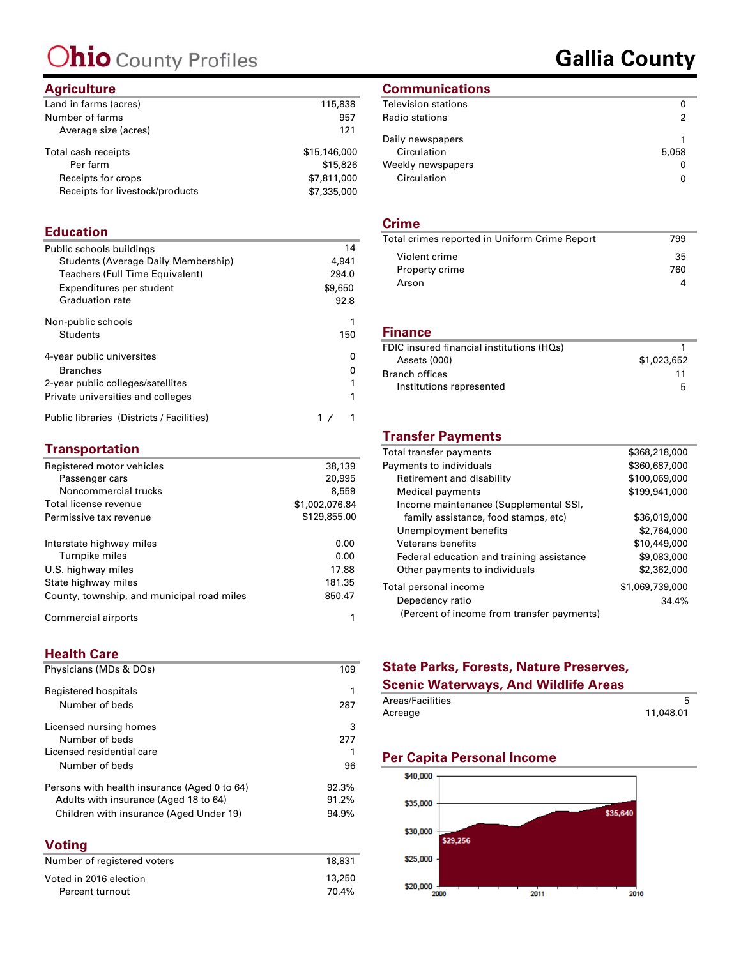## Ohio County Profiles

### **Gallia County**

#### **Agriculture**

| Land in farms (acres)           | 115,838      |
|---------------------------------|--------------|
| Number of farms                 | 957          |
| Average size (acres)            | 121          |
| Total cash receipts             | \$15,146,000 |
| Per farm                        | \$15,826     |
| Receipts for crops              | \$7,811,000  |
| Receipts for livestock/products | \$7,335,000  |
|                                 |              |

#### **Education**

| Public schools buildings                  | 14      |
|-------------------------------------------|---------|
| Students (Average Daily Membership)       | 4,941   |
| Teachers (Full Time Equivalent)           | 294.0   |
| Expenditures per student                  | \$9,650 |
| <b>Graduation rate</b>                    | 92.8    |
| Non-public schools                        |         |
| Students                                  | 150     |
| 4-year public universites                 | n       |
| <b>Branches</b>                           | n       |
| 2-year public colleges/satellites         |         |
| Private universities and colleges         |         |
| Public libraries (Districts / Facilities) |         |

#### **Transportation**

| Registered motor vehicles                  | 38,139         |
|--------------------------------------------|----------------|
| Passenger cars                             | 20,995         |
| Noncommercial trucks                       | 8,559          |
| Total license revenue                      | \$1,002,076.84 |
| Permissive tax revenue                     | \$129,855.00   |
| Interstate highway miles                   | 0.00           |
| Turnpike miles                             | 0.00           |
| U.S. highway miles                         | 17.88          |
| State highway miles                        | 181.35         |
| County, township, and municipal road miles | 850.47         |
| Commercial airports                        |                |

#### **Health Care**

| Physicians (MDs & DOs)                       | 109    |
|----------------------------------------------|--------|
| Registered hospitals                         | 1      |
| Number of beds                               | 287    |
| Licensed nursing homes                       | 3      |
| Number of beds                               | 277    |
| Licensed residential care                    | 1      |
| Number of beds                               | 96     |
| Persons with health insurance (Aged 0 to 64) | 92.3%  |
| Adults with insurance (Aged 18 to 64)        | 91.2%  |
| Children with insurance (Aged Under 19)      | 94.9%  |
| <b>Voting</b>                                |        |
| Number of registered voters                  | 18.831 |

| .      |
|--------|
| 13,250 |
| 70.4%  |
|        |

#### **Communications**

| Television stations                                                 |            |
|---------------------------------------------------------------------|------------|
| Radio stations                                                      | 2          |
| Daily newspapers<br>Circulation<br>Weekly newspapers<br>Circulation | 5,058<br>0 |
|                                                                     |            |

#### **Crime**

| Total crimes reported in Uniform Crime Report | 799 |
|-----------------------------------------------|-----|
| Violent crime                                 | 35  |
| Property crime                                | 760 |
| Arson                                         |     |
|                                               |     |

#### **Finance**

| \$1,023,652 |
|-------------|
| 11          |
| 5           |
|             |

#### **Transfer Payments**

| Total transfer payments                    | \$368,218,000   |
|--------------------------------------------|-----------------|
| Payments to individuals                    | \$360,687,000   |
| Retirement and disability                  | \$100,069,000   |
| Medical payments                           | \$199,941,000   |
| Income maintenance (Supplemental SSI,      |                 |
| family assistance, food stamps, etc)       | \$36,019,000    |
| Unemployment benefits                      | \$2,764,000     |
| <b>Veterans benefits</b>                   | \$10,449,000    |
| Federal education and training assistance  | \$9,083,000     |
| Other payments to individuals              | \$2,362,000     |
| Total personal income                      | \$1,069,739,000 |
| Depedency ratio                            | 34.4%           |
| (Percent of income from transfer payments) |                 |

#### **State Parks, Forests, Nature Preserves,**

#### **Scenic Waterways, And Wildlife Areas**

| Areas/Facilities |           |
|------------------|-----------|
| Acreage          | 11,048.01 |

#### **Per Capita Personal Income**